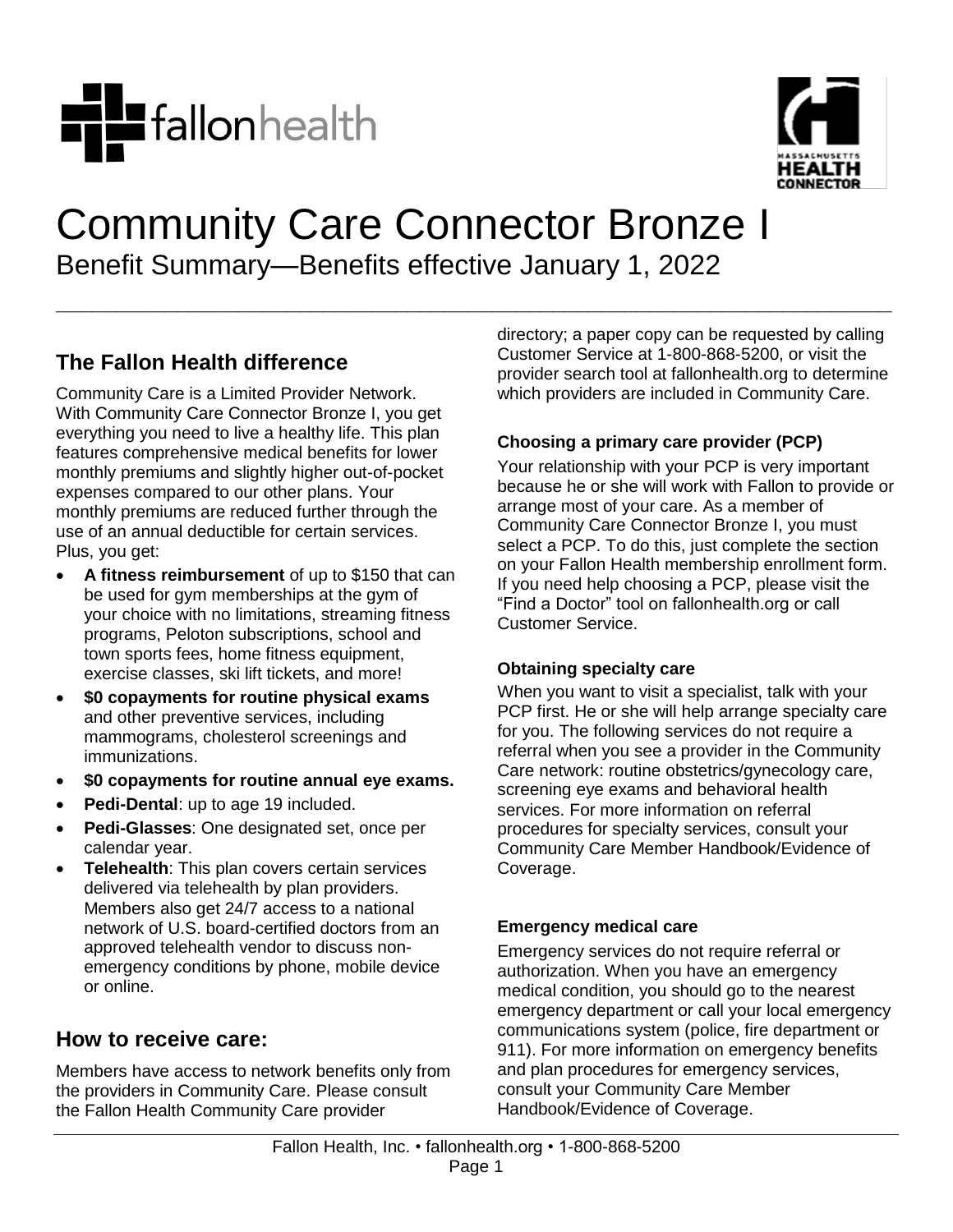



# Community Care Connector Bronze I Benefit Summary—Benefits effective January 1, 2022

**\_\_\_\_\_\_\_\_\_\_\_\_\_\_\_\_\_\_\_\_\_\_\_\_\_\_\_\_\_\_\_\_\_\_\_\_\_\_\_\_\_\_\_\_\_\_\_\_\_\_\_\_\_\_\_\_\_\_\_\_\_\_\_\_\_\_\_\_\_**

# **The Fallon Health difference**

Community Care is a Limited Provider Network. With Community Care Connector Bronze I, you get everything you need to live a healthy life. This plan features comprehensive medical benefits for lower monthly premiums and slightly higher out-of-pocket expenses compared to our other plans. Your monthly premiums are reduced further through the use of an annual deductible for certain services. Plus, you get:

- **A fitness reimbursement** of up to \$150 that can be used for gym memberships at the gym of your choice with no limitations, streaming fitness programs, Peloton subscriptions, school and town sports fees, home fitness equipment, exercise classes, ski lift tickets, and more!
- **\$0 copayments for routine physical exams** and other preventive services, including mammograms, cholesterol screenings and immunizations.
- **\$0 copayments for routine annual eye exams.**
- **Pedi-Dental**: up to age 19 included.
- **Pedi-Glasses**: One designated set, once per calendar year.
- **Telehealth**: This plan covers certain services delivered via telehealth by plan providers. Members also get 24/7 access to a national network of U.S. board-certified doctors from an approved telehealth vendor to discuss nonemergency conditions by phone, mobile device or online.

## **How to receive care:**

Members have access to network benefits only from the providers in Community Care. Please consult the Fallon Health Community Care provider

directory; a paper copy can be requested by calling Customer Service at 1-800-868-5200, or visit the provider search tool at fallonhealth.org to determine which providers are included in Community Care.

### **Choosing a primary care provider (PCP)**

Your relationship with your PCP is very important because he or she will work with Fallon to provide or arrange most of your care. As a member of Community Care Connector Bronze I, you must select a PCP. To do this, just complete the section on your Fallon Health membership enrollment form. If you need help choosing a PCP, please visit the "Find a Doctor" tool on fallonhealth.org or call Customer Service.

#### **Obtaining specialty care**

When you want to visit a specialist, talk with your PCP first. He or she will help arrange specialty care for you. The following services do not require a referral when you see a provider in the Community Care network: routine obstetrics/gynecology care, screening eye exams and behavioral health services. For more information on referral procedures for specialty services, consult your Community Care Member Handbook/Evidence of Coverage.

#### **Emergency medical care**

Emergency services do not require referral or authorization. When you have an emergency medical condition, you should go to the nearest emergency department or call your local emergency communications system (police, fire department or 911). For more information on emergency benefits and plan procedures for emergency services, consult your Community Care Member Handbook/Evidence of Coverage.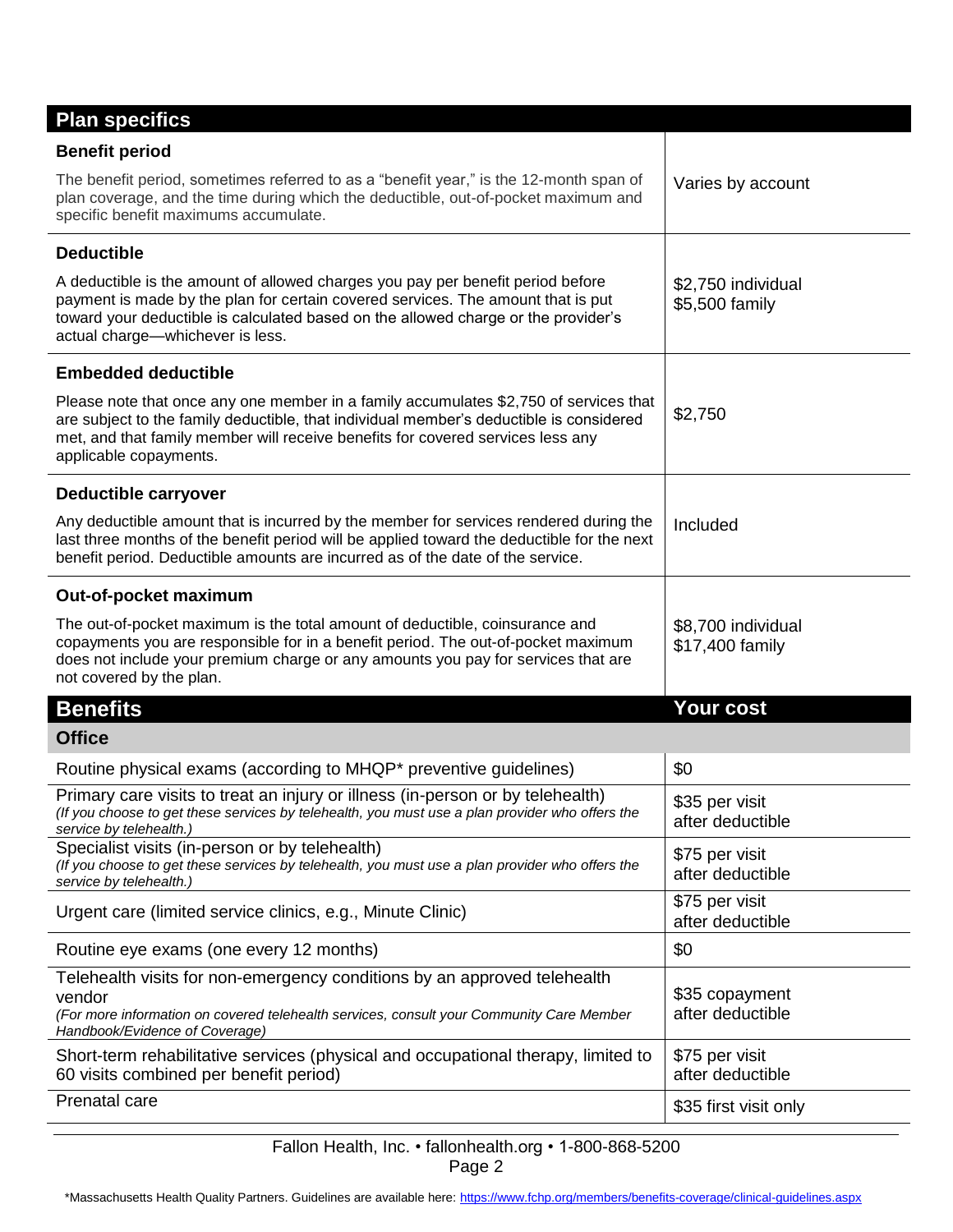| <b>Benefit period</b><br>The benefit period, sometimes referred to as a "benefit year," is the 12-month span of<br>Varies by account<br>plan coverage, and the time during which the deductible, out-of-pocket maximum and<br>specific benefit maximums accumulate.<br><b>Deductible</b><br>A deductible is the amount of allowed charges you pay per benefit period before<br>\$2,750 individual<br>payment is made by the plan for certain covered services. The amount that is put<br>\$5,500 family<br>toward your deductible is calculated based on the allowed charge or the provider's<br>actual charge-whichever is less.<br><b>Embedded deductible</b><br>Please note that once any one member in a family accumulates \$2,750 of services that<br>\$2,750<br>are subject to the family deductible, that individual member's deductible is considered<br>met, and that family member will receive benefits for covered services less any<br>applicable copayments.<br>Deductible carryover<br>Any deductible amount that is incurred by the member for services rendered during the<br>Included<br>last three months of the benefit period will be applied toward the deductible for the next<br>benefit period. Deductible amounts are incurred as of the date of the service.<br>Out-of-pocket maximum<br>The out-of-pocket maximum is the total amount of deductible, coinsurance and<br>\$8,700 individual<br>copayments you are responsible for in a benefit period. The out-of-pocket maximum<br>\$17,400 family<br>does not include your premium charge or any amounts you pay for services that are<br>not covered by the plan.<br>Your cost<br><b>Benefits</b><br><b>Office</b><br>Routine physical exams (according to MHQP* preventive guidelines)<br>\$0<br>Primary care visits to treat an injury or illness (in-person or by telehealth)<br>\$35 per visit<br>(If you choose to get these services by telehealth, you must use a plan provider who offers the<br>after deductible<br>service by telehealth.)<br>Specialist visits (in-person or by telehealth)<br>\$75 per visit<br>(If you choose to get these services by telehealth, you must use a plan provider who offers the<br>after deductible<br>service by telehealth.)<br>\$75 per visit<br>Urgent care (limited service clinics, e.g., Minute Clinic)<br>after deductible<br>Routine eye exams (one every 12 months)<br>\$0<br>Telehealth visits for non-emergency conditions by an approved telehealth<br>\$35 copayment<br>vendor<br>after deductible<br>(For more information on covered telehealth services, consult your Community Care Member<br>Handbook/Evidence of Coverage)<br>Short-term rehabilitative services (physical and occupational therapy, limited to<br>\$75 per visit<br>60 visits combined per benefit period)<br>after deductible<br>Prenatal care<br>\$35 first visit only | <b>Plan specifics</b> |  |  |
|------------------------------------------------------------------------------------------------------------------------------------------------------------------------------------------------------------------------------------------------------------------------------------------------------------------------------------------------------------------------------------------------------------------------------------------------------------------------------------------------------------------------------------------------------------------------------------------------------------------------------------------------------------------------------------------------------------------------------------------------------------------------------------------------------------------------------------------------------------------------------------------------------------------------------------------------------------------------------------------------------------------------------------------------------------------------------------------------------------------------------------------------------------------------------------------------------------------------------------------------------------------------------------------------------------------------------------------------------------------------------------------------------------------------------------------------------------------------------------------------------------------------------------------------------------------------------------------------------------------------------------------------------------------------------------------------------------------------------------------------------------------------------------------------------------------------------------------------------------------------------------------------------------------------------------------------------------------------------------------------------------------------------------------------------------------------------------------------------------------------------------------------------------------------------------------------------------------------------------------------------------------------------------------------------------------------------------------------------------------------------------------------------------------------------------------------------------------------------------------------------------------------------------------------------------------------------------------------------------------------------------------------------------------------------------------------------------------------------------------------------------------------------------------------------------------------------------------------------------------------------------------|-----------------------|--|--|
|                                                                                                                                                                                                                                                                                                                                                                                                                                                                                                                                                                                                                                                                                                                                                                                                                                                                                                                                                                                                                                                                                                                                                                                                                                                                                                                                                                                                                                                                                                                                                                                                                                                                                                                                                                                                                                                                                                                                                                                                                                                                                                                                                                                                                                                                                                                                                                                                                                                                                                                                                                                                                                                                                                                                                                                                                                                                                          |                       |  |  |
|                                                                                                                                                                                                                                                                                                                                                                                                                                                                                                                                                                                                                                                                                                                                                                                                                                                                                                                                                                                                                                                                                                                                                                                                                                                                                                                                                                                                                                                                                                                                                                                                                                                                                                                                                                                                                                                                                                                                                                                                                                                                                                                                                                                                                                                                                                                                                                                                                                                                                                                                                                                                                                                                                                                                                                                                                                                                                          |                       |  |  |
|                                                                                                                                                                                                                                                                                                                                                                                                                                                                                                                                                                                                                                                                                                                                                                                                                                                                                                                                                                                                                                                                                                                                                                                                                                                                                                                                                                                                                                                                                                                                                                                                                                                                                                                                                                                                                                                                                                                                                                                                                                                                                                                                                                                                                                                                                                                                                                                                                                                                                                                                                                                                                                                                                                                                                                                                                                                                                          |                       |  |  |
|                                                                                                                                                                                                                                                                                                                                                                                                                                                                                                                                                                                                                                                                                                                                                                                                                                                                                                                                                                                                                                                                                                                                                                                                                                                                                                                                                                                                                                                                                                                                                                                                                                                                                                                                                                                                                                                                                                                                                                                                                                                                                                                                                                                                                                                                                                                                                                                                                                                                                                                                                                                                                                                                                                                                                                                                                                                                                          |                       |  |  |
|                                                                                                                                                                                                                                                                                                                                                                                                                                                                                                                                                                                                                                                                                                                                                                                                                                                                                                                                                                                                                                                                                                                                                                                                                                                                                                                                                                                                                                                                                                                                                                                                                                                                                                                                                                                                                                                                                                                                                                                                                                                                                                                                                                                                                                                                                                                                                                                                                                                                                                                                                                                                                                                                                                                                                                                                                                                                                          |                       |  |  |
|                                                                                                                                                                                                                                                                                                                                                                                                                                                                                                                                                                                                                                                                                                                                                                                                                                                                                                                                                                                                                                                                                                                                                                                                                                                                                                                                                                                                                                                                                                                                                                                                                                                                                                                                                                                                                                                                                                                                                                                                                                                                                                                                                                                                                                                                                                                                                                                                                                                                                                                                                                                                                                                                                                                                                                                                                                                                                          |                       |  |  |
|                                                                                                                                                                                                                                                                                                                                                                                                                                                                                                                                                                                                                                                                                                                                                                                                                                                                                                                                                                                                                                                                                                                                                                                                                                                                                                                                                                                                                                                                                                                                                                                                                                                                                                                                                                                                                                                                                                                                                                                                                                                                                                                                                                                                                                                                                                                                                                                                                                                                                                                                                                                                                                                                                                                                                                                                                                                                                          |                       |  |  |
|                                                                                                                                                                                                                                                                                                                                                                                                                                                                                                                                                                                                                                                                                                                                                                                                                                                                                                                                                                                                                                                                                                                                                                                                                                                                                                                                                                                                                                                                                                                                                                                                                                                                                                                                                                                                                                                                                                                                                                                                                                                                                                                                                                                                                                                                                                                                                                                                                                                                                                                                                                                                                                                                                                                                                                                                                                                                                          |                       |  |  |
|                                                                                                                                                                                                                                                                                                                                                                                                                                                                                                                                                                                                                                                                                                                                                                                                                                                                                                                                                                                                                                                                                                                                                                                                                                                                                                                                                                                                                                                                                                                                                                                                                                                                                                                                                                                                                                                                                                                                                                                                                                                                                                                                                                                                                                                                                                                                                                                                                                                                                                                                                                                                                                                                                                                                                                                                                                                                                          |                       |  |  |
|                                                                                                                                                                                                                                                                                                                                                                                                                                                                                                                                                                                                                                                                                                                                                                                                                                                                                                                                                                                                                                                                                                                                                                                                                                                                                                                                                                                                                                                                                                                                                                                                                                                                                                                                                                                                                                                                                                                                                                                                                                                                                                                                                                                                                                                                                                                                                                                                                                                                                                                                                                                                                                                                                                                                                                                                                                                                                          |                       |  |  |
|                                                                                                                                                                                                                                                                                                                                                                                                                                                                                                                                                                                                                                                                                                                                                                                                                                                                                                                                                                                                                                                                                                                                                                                                                                                                                                                                                                                                                                                                                                                                                                                                                                                                                                                                                                                                                                                                                                                                                                                                                                                                                                                                                                                                                                                                                                                                                                                                                                                                                                                                                                                                                                                                                                                                                                                                                                                                                          |                       |  |  |
|                                                                                                                                                                                                                                                                                                                                                                                                                                                                                                                                                                                                                                                                                                                                                                                                                                                                                                                                                                                                                                                                                                                                                                                                                                                                                                                                                                                                                                                                                                                                                                                                                                                                                                                                                                                                                                                                                                                                                                                                                                                                                                                                                                                                                                                                                                                                                                                                                                                                                                                                                                                                                                                                                                                                                                                                                                                                                          |                       |  |  |
|                                                                                                                                                                                                                                                                                                                                                                                                                                                                                                                                                                                                                                                                                                                                                                                                                                                                                                                                                                                                                                                                                                                                                                                                                                                                                                                                                                                                                                                                                                                                                                                                                                                                                                                                                                                                                                                                                                                                                                                                                                                                                                                                                                                                                                                                                                                                                                                                                                                                                                                                                                                                                                                                                                                                                                                                                                                                                          |                       |  |  |
|                                                                                                                                                                                                                                                                                                                                                                                                                                                                                                                                                                                                                                                                                                                                                                                                                                                                                                                                                                                                                                                                                                                                                                                                                                                                                                                                                                                                                                                                                                                                                                                                                                                                                                                                                                                                                                                                                                                                                                                                                                                                                                                                                                                                                                                                                                                                                                                                                                                                                                                                                                                                                                                                                                                                                                                                                                                                                          |                       |  |  |
|                                                                                                                                                                                                                                                                                                                                                                                                                                                                                                                                                                                                                                                                                                                                                                                                                                                                                                                                                                                                                                                                                                                                                                                                                                                                                                                                                                                                                                                                                                                                                                                                                                                                                                                                                                                                                                                                                                                                                                                                                                                                                                                                                                                                                                                                                                                                                                                                                                                                                                                                                                                                                                                                                                                                                                                                                                                                                          |                       |  |  |
|                                                                                                                                                                                                                                                                                                                                                                                                                                                                                                                                                                                                                                                                                                                                                                                                                                                                                                                                                                                                                                                                                                                                                                                                                                                                                                                                                                                                                                                                                                                                                                                                                                                                                                                                                                                                                                                                                                                                                                                                                                                                                                                                                                                                                                                                                                                                                                                                                                                                                                                                                                                                                                                                                                                                                                                                                                                                                          |                       |  |  |
|                                                                                                                                                                                                                                                                                                                                                                                                                                                                                                                                                                                                                                                                                                                                                                                                                                                                                                                                                                                                                                                                                                                                                                                                                                                                                                                                                                                                                                                                                                                                                                                                                                                                                                                                                                                                                                                                                                                                                                                                                                                                                                                                                                                                                                                                                                                                                                                                                                                                                                                                                                                                                                                                                                                                                                                                                                                                                          |                       |  |  |
|                                                                                                                                                                                                                                                                                                                                                                                                                                                                                                                                                                                                                                                                                                                                                                                                                                                                                                                                                                                                                                                                                                                                                                                                                                                                                                                                                                                                                                                                                                                                                                                                                                                                                                                                                                                                                                                                                                                                                                                                                                                                                                                                                                                                                                                                                                                                                                                                                                                                                                                                                                                                                                                                                                                                                                                                                                                                                          |                       |  |  |
|                                                                                                                                                                                                                                                                                                                                                                                                                                                                                                                                                                                                                                                                                                                                                                                                                                                                                                                                                                                                                                                                                                                                                                                                                                                                                                                                                                                                                                                                                                                                                                                                                                                                                                                                                                                                                                                                                                                                                                                                                                                                                                                                                                                                                                                                                                                                                                                                                                                                                                                                                                                                                                                                                                                                                                                                                                                                                          |                       |  |  |
|                                                                                                                                                                                                                                                                                                                                                                                                                                                                                                                                                                                                                                                                                                                                                                                                                                                                                                                                                                                                                                                                                                                                                                                                                                                                                                                                                                                                                                                                                                                                                                                                                                                                                                                                                                                                                                                                                                                                                                                                                                                                                                                                                                                                                                                                                                                                                                                                                                                                                                                                                                                                                                                                                                                                                                                                                                                                                          |                       |  |  |

I

Fallon Health, Inc. • fallonhealth.org • 1-800-868-5200 Page 2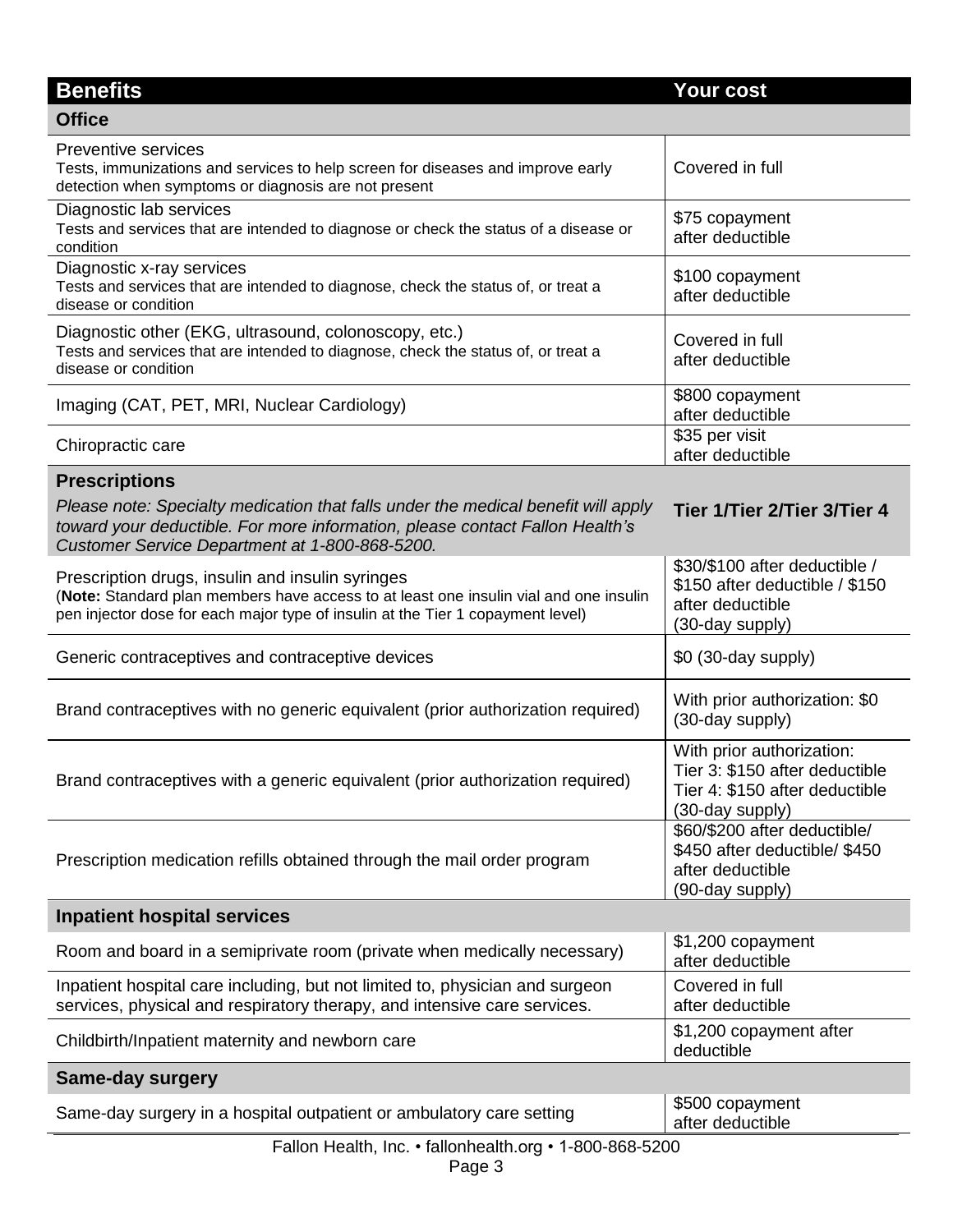| <b>Benefits</b>                                                                                                                                                                                                                             | <b>Your cost</b>                                                                                                 |  |
|---------------------------------------------------------------------------------------------------------------------------------------------------------------------------------------------------------------------------------------------|------------------------------------------------------------------------------------------------------------------|--|
| <b>Office</b>                                                                                                                                                                                                                               |                                                                                                                  |  |
| <b>Preventive services</b><br>Tests, immunizations and services to help screen for diseases and improve early<br>detection when symptoms or diagnosis are not present                                                                       | Covered in full                                                                                                  |  |
| Diagnostic lab services<br>Tests and services that are intended to diagnose or check the status of a disease or<br>condition                                                                                                                | \$75 copayment<br>after deductible                                                                               |  |
| Diagnostic x-ray services<br>Tests and services that are intended to diagnose, check the status of, or treat a<br>disease or condition                                                                                                      | \$100 copayment<br>after deductible                                                                              |  |
| Diagnostic other (EKG, ultrasound, colonoscopy, etc.)<br>Tests and services that are intended to diagnose, check the status of, or treat a<br>disease or condition                                                                          | Covered in full<br>after deductible                                                                              |  |
| Imaging (CAT, PET, MRI, Nuclear Cardiology)                                                                                                                                                                                                 | \$800 copayment<br>after deductible                                                                              |  |
| Chiropractic care                                                                                                                                                                                                                           | \$35 per visit<br>after deductible                                                                               |  |
| <b>Prescriptions</b><br>Please note: Specialty medication that falls under the medical benefit will apply<br>toward your deductible. For more information, please contact Fallon Health's<br>Customer Service Department at 1-800-868-5200. | Tier 1/Tier 2/Tier 3/Tier 4                                                                                      |  |
| Prescription drugs, insulin and insulin syringes<br>(Note: Standard plan members have access to at least one insulin vial and one insulin<br>pen injector dose for each major type of insulin at the Tier 1 copayment level)                | \$30/\$100 after deductible /<br>\$150 after deductible / \$150<br>after deductible<br>(30-day supply)           |  |
| Generic contraceptives and contraceptive devices                                                                                                                                                                                            | \$0 (30-day supply)                                                                                              |  |
| Brand contraceptives with no generic equivalent (prior authorization required)                                                                                                                                                              | With prior authorization: \$0<br>(30-day supply)                                                                 |  |
| Brand contraceptives with a generic equivalent (prior authorization required)                                                                                                                                                               | With prior authorization:<br>Tier 3: \$150 after deductible<br>Tier 4: \$150 after deductible<br>(30-day supply) |  |
| Prescription medication refills obtained through the mail order program                                                                                                                                                                     | \$60/\$200 after deductible/<br>\$450 after deductible/ \$450<br>after deductible<br>(90-day supply)             |  |
| <b>Inpatient hospital services</b>                                                                                                                                                                                                          |                                                                                                                  |  |
| Room and board in a semiprivate room (private when medically necessary)                                                                                                                                                                     | \$1,200 copayment<br>after deductible                                                                            |  |
| Inpatient hospital care including, but not limited to, physician and surgeon<br>services, physical and respiratory therapy, and intensive care services.                                                                                    | Covered in full<br>after deductible                                                                              |  |
| Childbirth/Inpatient maternity and newborn care                                                                                                                                                                                             | \$1,200 copayment after<br>deductible                                                                            |  |
| <b>Same-day surgery</b>                                                                                                                                                                                                                     |                                                                                                                  |  |
| Same-day surgery in a hospital outpatient or ambulatory care setting                                                                                                                                                                        | \$500 copayment<br>after deductible                                                                              |  |
| Fallon Health, Inc. • fallonhealth.org • 1-800-868-5200                                                                                                                                                                                     |                                                                                                                  |  |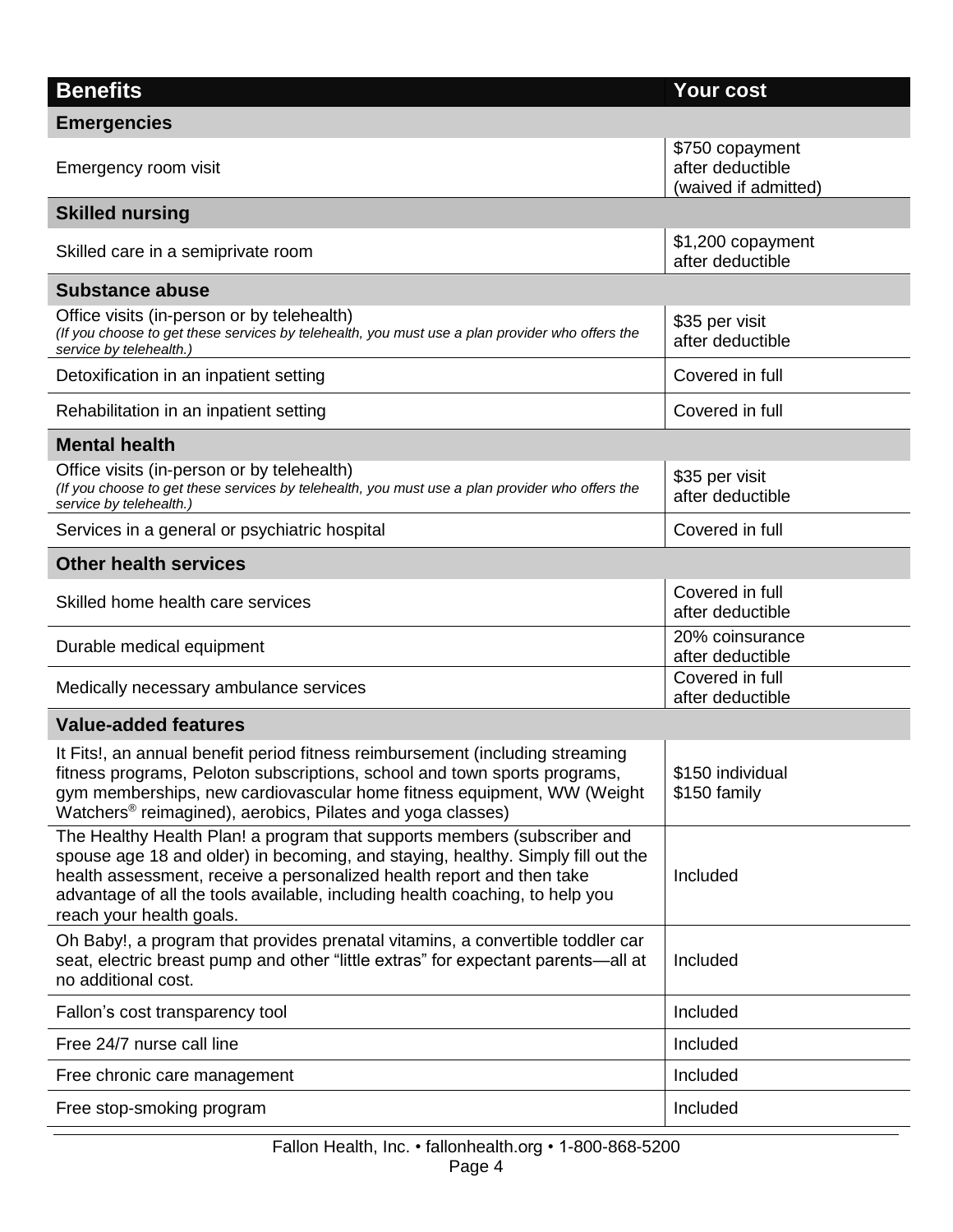| <b>Benefits</b>                                                                                                                                                                                                                                                                                                                                  | <b>Your cost</b>                                            |  |  |  |
|--------------------------------------------------------------------------------------------------------------------------------------------------------------------------------------------------------------------------------------------------------------------------------------------------------------------------------------------------|-------------------------------------------------------------|--|--|--|
| <b>Emergencies</b>                                                                                                                                                                                                                                                                                                                               |                                                             |  |  |  |
| Emergency room visit                                                                                                                                                                                                                                                                                                                             | \$750 copayment<br>after deductible<br>(waived if admitted) |  |  |  |
| <b>Skilled nursing</b>                                                                                                                                                                                                                                                                                                                           |                                                             |  |  |  |
| Skilled care in a semiprivate room                                                                                                                                                                                                                                                                                                               | \$1,200 copayment<br>after deductible                       |  |  |  |
| <b>Substance abuse</b>                                                                                                                                                                                                                                                                                                                           |                                                             |  |  |  |
| Office visits (in-person or by telehealth)<br>(If you choose to get these services by telehealth, you must use a plan provider who offers the<br>service by telehealth.)                                                                                                                                                                         | \$35 per visit<br>after deductible                          |  |  |  |
| Detoxification in an inpatient setting                                                                                                                                                                                                                                                                                                           | Covered in full                                             |  |  |  |
| Rehabilitation in an inpatient setting                                                                                                                                                                                                                                                                                                           | Covered in full                                             |  |  |  |
| <b>Mental health</b>                                                                                                                                                                                                                                                                                                                             |                                                             |  |  |  |
| Office visits (in-person or by telehealth)<br>(If you choose to get these services by telehealth, you must use a plan provider who offers the<br>service by telehealth.)                                                                                                                                                                         | \$35 per visit<br>after deductible                          |  |  |  |
| Services in a general or psychiatric hospital                                                                                                                                                                                                                                                                                                    | Covered in full                                             |  |  |  |
| <b>Other health services</b>                                                                                                                                                                                                                                                                                                                     |                                                             |  |  |  |
| Skilled home health care services                                                                                                                                                                                                                                                                                                                | Covered in full<br>after deductible                         |  |  |  |
| Durable medical equipment                                                                                                                                                                                                                                                                                                                        | 20% coinsurance<br>after deductible                         |  |  |  |
| Medically necessary ambulance services                                                                                                                                                                                                                                                                                                           | Covered in full<br>after deductible                         |  |  |  |
| <b>Value-added features</b>                                                                                                                                                                                                                                                                                                                      |                                                             |  |  |  |
| It Fits!, an annual benefit period fitness reimbursement (including streaming<br>fitness programs, Peloton subscriptions, school and town sports programs,<br>gym memberships, new cardiovascular home fitness equipment, WW (Weight<br>Watchers <sup>®</sup> reimagined), aerobics, Pilates and yoga classes)                                   | \$150 individual<br>\$150 family                            |  |  |  |
| The Healthy Health Plan! a program that supports members (subscriber and<br>spouse age 18 and older) in becoming, and staying, healthy. Simply fill out the<br>health assessment, receive a personalized health report and then take<br>advantage of all the tools available, including health coaching, to help you<br>reach your health goals. | Included                                                    |  |  |  |
| Oh Baby!, a program that provides prenatal vitamins, a convertible toddler car<br>seat, electric breast pump and other "little extras" for expectant parents—all at<br>no additional cost.                                                                                                                                                       | Included                                                    |  |  |  |
| Fallon's cost transparency tool                                                                                                                                                                                                                                                                                                                  | Included                                                    |  |  |  |
| Free 24/7 nurse call line                                                                                                                                                                                                                                                                                                                        | Included                                                    |  |  |  |
| Free chronic care management                                                                                                                                                                                                                                                                                                                     | Included                                                    |  |  |  |
| Free stop-smoking program                                                                                                                                                                                                                                                                                                                        | Included                                                    |  |  |  |